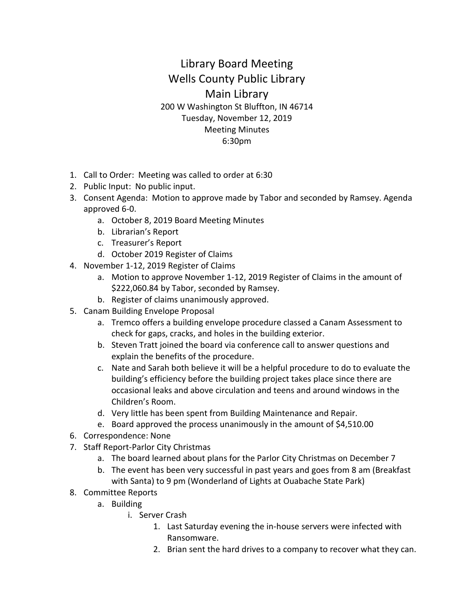## Library Board Meeting Wells County Public Library Main Library 200 W Washington St Bluffton, IN 46714 Tuesday, November 12, 2019 Meeting Minutes 6:30pm

- 1. Call to Order: Meeting was called to order at 6:30
- 2. Public Input: No public input.
- 3. Consent Agenda: Motion to approve made by Tabor and seconded by Ramsey. Agenda approved 6-0.
	- a. October 8, 2019 Board Meeting Minutes
	- b. Librarian's Report
	- c. Treasurer's Report
	- d. October 2019 Register of Claims
- 4. November 1-12, 2019 Register of Claims
	- a. Motion to approve November 1-12, 2019 Register of Claims in the amount of \$222,060.84 by Tabor, seconded by Ramsey.
	- b. Register of claims unanimously approved.
- 5. Canam Building Envelope Proposal
	- a. Tremco offers a building envelope procedure classed a Canam Assessment to check for gaps, cracks, and holes in the building exterior.
	- b. Steven Tratt joined the board via conference call to answer questions and explain the benefits of the procedure.
	- c. Nate and Sarah both believe it will be a helpful procedure to do to evaluate the building's efficiency before the building project takes place since there are occasional leaks and above circulation and teens and around windows in the Children's Room.
	- d. Very little has been spent from Building Maintenance and Repair.
	- e. Board approved the process unanimously in the amount of \$4,510.00
- 6. Correspondence: None
- 7. Staff Report-Parlor City Christmas
	- a. The board learned about plans for the Parlor City Christmas on December 7
	- b. The event has been very successful in past years and goes from 8 am (Breakfast with Santa) to 9 pm (Wonderland of Lights at Ouabache State Park)
- 8. Committee Reports
	- a. Building
		- i. Server Crash
			- 1. Last Saturday evening the in-house servers were infected with Ransomware.
			- 2. Brian sent the hard drives to a company to recover what they can.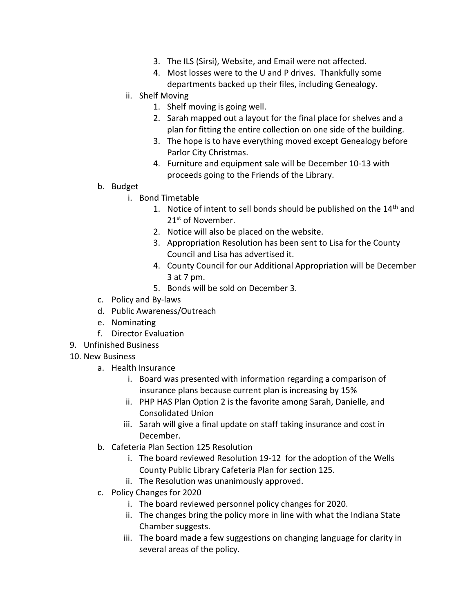- 3. The ILS (Sirsi), Website, and Email were not affected.
- 4. Most losses were to the U and P drives. Thankfully some departments backed up their files, including Genealogy.
- ii. Shelf Moving
	- 1. Shelf moving is going well.
	- 2. Sarah mapped out a layout for the final place for shelves and a plan for fitting the entire collection on one side of the building.
	- 3. The hope is to have everything moved except Genealogy before Parlor City Christmas.
	- 4. Furniture and equipment sale will be December 10-13 with proceeds going to the Friends of the Library.
- b. Budget
	- i. Bond Timetable
		- 1. Notice of intent to sell bonds should be published on the  $14<sup>th</sup>$  and 21<sup>st</sup> of November.
		- 2. Notice will also be placed on the website.
		- 3. Appropriation Resolution has been sent to Lisa for the County Council and Lisa has advertised it.
		- 4. County Council for our Additional Appropriation will be December 3 at 7 pm.
		- 5. Bonds will be sold on December 3.
- c. Policy and By-laws
- d. Public Awareness/Outreach
- e. Nominating
- f. Director Evaluation
- 9. Unfinished Business
- 10. New Business
	- a. Health Insurance
		- i. Board was presented with information regarding a comparison of insurance plans because current plan is increasing by 15%
		- ii. PHP HAS Plan Option 2 is the favorite among Sarah, Danielle, and Consolidated Union
		- iii. Sarah will give a final update on staff taking insurance and cost in December.
	- b. Cafeteria Plan Section 125 Resolution
		- i. The board reviewed Resolution 19-12 for the adoption of the Wells County Public Library Cafeteria Plan for section 125.
		- ii. The Resolution was unanimously approved.
	- c. Policy Changes for 2020
		- i. The board reviewed personnel policy changes for 2020.
		- ii. The changes bring the policy more in line with what the Indiana State Chamber suggests.
		- iii. The board made a few suggestions on changing language for clarity in several areas of the policy.